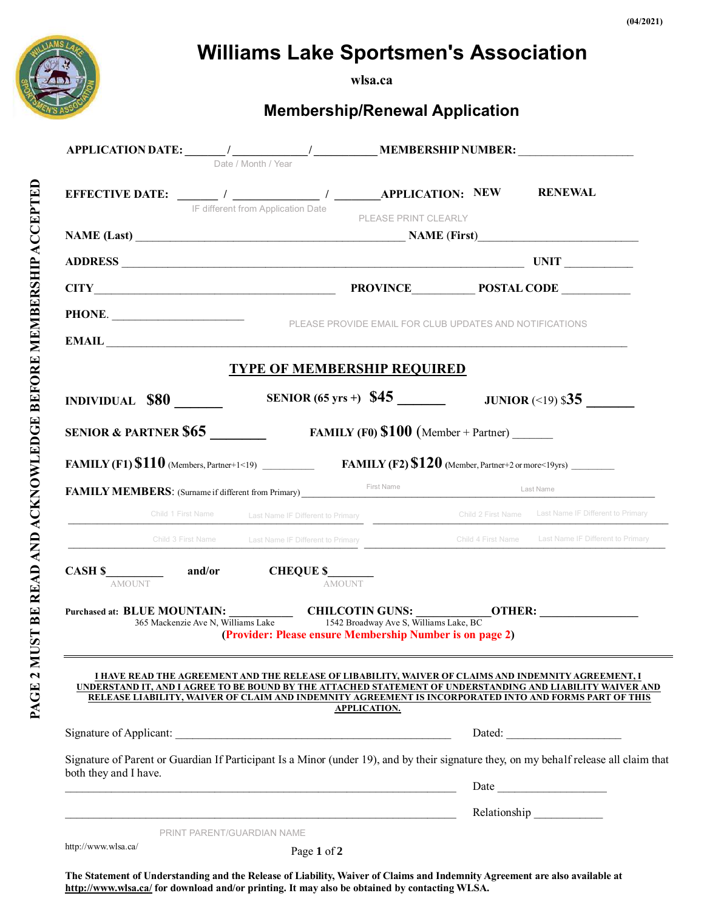

**wlsa.ca**

**Membership/Renewal Application**

| $\bf APPLICATION\ \textbf{DATE:}\begin{picture}(180,10) \put(0,0){\vector(1,0){100}} \put(1,0){\vector(1,0){100}} \put(1,0){\vector(1,0){100}} \put(1,0){\vector(1,0){100}} \put(1,0){\vector(1,0){100}} \put(1,0){\vector(1,0){100}} \put(1,0){\vector(1,0){100}} \put(1,0){\vector(1,0){100}} \put(1,0){\vector(1,0){100}} \put(1,0){\vector(1,0){100}} \put(1,0){\vector(1,0){$ |                                                                                                             |                                                          |                                                                                                                                                                                                                      |
|------------------------------------------------------------------------------------------------------------------------------------------------------------------------------------------------------------------------------------------------------------------------------------------------------------------------------------------------------------------------------------|-------------------------------------------------------------------------------------------------------------|----------------------------------------------------------|----------------------------------------------------------------------------------------------------------------------------------------------------------------------------------------------------------------------|
| EFFECTIVE DATE: ________ / _______________ / ________APPLICATION: NEW RENEWAL                                                                                                                                                                                                                                                                                                      | IF different from Application Date                                                                          | PLEASE PRINT CLEARLY                                     |                                                                                                                                                                                                                      |
|                                                                                                                                                                                                                                                                                                                                                                                    |                                                                                                             |                                                          |                                                                                                                                                                                                                      |
|                                                                                                                                                                                                                                                                                                                                                                                    |                                                                                                             |                                                          |                                                                                                                                                                                                                      |
|                                                                                                                                                                                                                                                                                                                                                                                    |                                                                                                             |                                                          |                                                                                                                                                                                                                      |
|                                                                                                                                                                                                                                                                                                                                                                                    |                                                                                                             |                                                          |                                                                                                                                                                                                                      |
|                                                                                                                                                                                                                                                                                                                                                                                    |                                                                                                             |                                                          |                                                                                                                                                                                                                      |
|                                                                                                                                                                                                                                                                                                                                                                                    |                                                                                                             | <b>TYPE OF MEMBERSHIP REQUIRED</b>                       |                                                                                                                                                                                                                      |
|                                                                                                                                                                                                                                                                                                                                                                                    |                                                                                                             | SENIOR (65 yrs +) $$45$ JUNIOR (<19) \$35                |                                                                                                                                                                                                                      |
| <b>SENIOR &amp; PARTNER \$65</b> FAMILY (F0) $$100$ (Member + Partner)                                                                                                                                                                                                                                                                                                             |                                                                                                             |                                                          |                                                                                                                                                                                                                      |
| FAMILY (F1) $$110$ (Members, Partner+1<19) FAMILY (F2) $$120$ (Member, Partner+2 or more<19yrs)                                                                                                                                                                                                                                                                                    |                                                                                                             |                                                          |                                                                                                                                                                                                                      |
| FAMILY MEMBERS: (Surname if different from Primary)<br>First Name                                                                                                                                                                                                                                                                                                                  |                                                                                                             |                                                          |                                                                                                                                                                                                                      |
|                                                                                                                                                                                                                                                                                                                                                                                    |                                                                                                             |                                                          | Child 1 First Name IF Different to Primary<br>Child 2 First Name Last Name IF Different to Primary                                                                                                                   |
|                                                                                                                                                                                                                                                                                                                                                                                    |                                                                                                             |                                                          | Child 3 First Name Last Name IF Different to Primary<br>Child 4 First Name Last Name IF Different to Primary                                                                                                         |
| <b>AMOUNT</b>                                                                                                                                                                                                                                                                                                                                                                      |                                                                                                             | <b>AMOUNT</b>                                            |                                                                                                                                                                                                                      |
|                                                                                                                                                                                                                                                                                                                                                                                    |                                                                                                             |                                                          |                                                                                                                                                                                                                      |
|                                                                                                                                                                                                                                                                                                                                                                                    | 365 Mackenzie Ave N, Williams Lake 1542 Broadway Ave S, Williams Lake, BC                                   | (Provider: Please ensure Membership Number is on page 2) |                                                                                                                                                                                                                      |
|                                                                                                                                                                                                                                                                                                                                                                                    | <u>I HAVE READ THE AGREEMENT AND THE RELEASE OF LIBABILITY, WAIVER OF CLAIMS AND INDEMNITY AGREEMENT, I</u> | <b>APPLICATION.</b>                                      | UNDERSTAND IT, AND I AGREE TO BE BOUND BY THE ATTACHED STATEMENT OF UNDERSTANDING AND LIABILITY WAIVER AND<br>RELEASE LIABILITY, WAIVER OF CLAIM AND INDEMNITY AGREEMENT IS INCORPORATED INTO AND FORMS PART OF THIS |
|                                                                                                                                                                                                                                                                                                                                                                                    |                                                                                                             |                                                          | Dated:                                                                                                                                                                                                               |
| both they and I have.                                                                                                                                                                                                                                                                                                                                                              |                                                                                                             |                                                          | Signature of Parent or Guardian If Participant Is a Minor (under 19), and by their signature they, on my behalf release all claim that                                                                               |
|                                                                                                                                                                                                                                                                                                                                                                                    |                                                                                                             |                                                          |                                                                                                                                                                                                                      |
|                                                                                                                                                                                                                                                                                                                                                                                    |                                                                                                             |                                                          | Relationship                                                                                                                                                                                                         |
|                                                                                                                                                                                                                                                                                                                                                                                    | PRINT PARENT/GUARDIAN NAME                                                                                  |                                                          |                                                                                                                                                                                                                      |
| http://www.wlsa.ca/                                                                                                                                                                                                                                                                                                                                                                | Page 1 of 2                                                                                                 |                                                          |                                                                                                                                                                                                                      |

**The Statement of Understanding and the Release of Liability, Waiver of Claims and Indemnity Agreement are also available at <http://www.wlsa.ca/> for download and/or printing. It may also be obtained by contacting WLSA.**